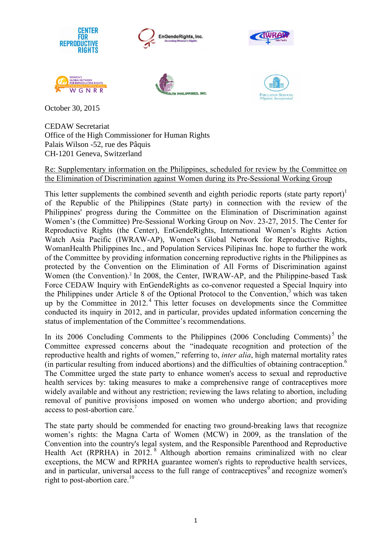

CEDAW Secretariat Office of the High Commissioner for Human Rights Palais Wilson -52, rue des Pâquis CH-1201 Geneva, Switzerland

#### Re: Supplementary information on the Philippines, scheduled for review by the Committee on the Elimination of Discrimination against Women during its Pre-Sessional Working Group

This letter supplements the combined seventh and eighth periodic reports (state party report)<sup>1</sup> of the Republic of the Philippines (State party) in connection with the review of the Philippines' progress during the Committee on the Elimination of Discrimination against Women's (the Committee) Pre-Sessional Working Group on Nov. 23-27, 2015. The Center for Reproductive Rights (the Center), EnGendeRights, International Women's Rights Action Watch Asia Pacific (IWRAW-AP), Women's Global Network for Reproductive Rights, WomanHealth Philippines Inc., and Population Services Pilipinas Inc. hope to further the work of the Committee by providing information concerning reproductive rights in the Philippines as protected by the Convention on the Elimination of All Forms of Discrimination against Women (the Convention).<sup>2</sup> In 2008, the Center, IWRAW-AP, and the Philippine-based Task Force CEDAW Inquiry with EnGendeRights as co-convenor requested a Special Inquiry into the Philippines under Article 8 of the Optional Protocol to the Convention, <sup>3</sup> which was taken up by the Committee in 2012.<sup>4</sup> This letter focuses on developments since the Committee conducted its inquiry in 2012, and in particular, provides updated information concerning the status of implementation of the Committee's recommendations.

In its 2006 Concluding Comments to the Philippines (2006 Concluding Comments)<sup>5</sup> the Committee expressed concerns about the "inadequate recognition and protection of the reproductive health and rights of women," referring to, *inter alia*, high maternal mortality rates (in particular resulting from induced abortions) and the difficulties of obtaining contraception. 6 The Committee urged the state party to enhance women's access to sexual and reproductive health services by: taking measures to make a comprehensive range of contraceptives more widely available and without any restriction; reviewing the laws relating to abortion, including removal of punitive provisions imposed on women who undergo abortion; and providing access to post-abortion care.<sup>7</sup>

The state party should be commended for enacting two ground-breaking laws that recognize women's rights: the Magna Carta of Women (MCW) in 2009, as the translation of the Convention into the country's legal system, and the Responsible Parenthood and Reproductive Health Act (RPRHA) in 2012.<sup>8</sup> Although abortion remains criminalized with no clear exceptions, the MCW and RPRHA guarantee women's rights to reproductive health services, and in particular, universal access to the full range of contraceptives<sup>9</sup> and recognize women's right to post-abortion care. 10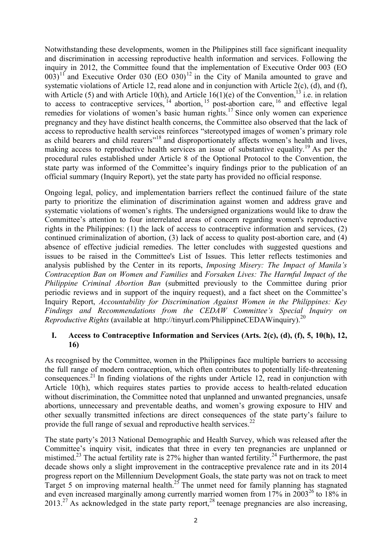Notwithstanding these developments, women in the Philippines still face significant inequality and discrimination in accessing reproductive health information and services. Following the inquiry in 2012, the Committee found that the implementation of Executive Order 003 (EO  $(003)^{11}$  and Executive Order 030 (EO 030)<sup>12</sup> in the City of Manila amounted to grave and systematic violations of Article 12, read alone and in conjunction with Article 2(c), (d), and (f), with Article (5) and with Article 10(h), and Article 16(1)(e) of the Convention, <sup>13</sup> i.e. in relation to access to contraceptive services,  $14$  abortion,  $15$  post-abortion care,  $16$  and effective legal remedies for violations of women's basic human rights.<sup>17</sup> Since only women can experience pregnancy and they have distinct health concerns, the Committee also observed that the lack of access to reproductive health services reinforces "stereotyped images of women's primary role as child bearers and child rearers"<sup>18</sup> and disproportionately affects women's health and lives, making access to reproductive health services an issue of substantive equality.<sup>19</sup> As per the procedural rules established under Article 8 of the Optional Protocol to the Convention, the state party was informed of the Committee's inquiry findings prior to the publication of an official summary (Inquiry Report), yet the state party has provided no official response.

Ongoing legal, policy, and implementation barriers reflect the continued failure of the state party to prioritize the elimination of discrimination against women and address grave and systematic violations of women's rights. The undersigned organizations would like to draw the Committee's attention to four interrelated areas of concern regarding women's reproductive rights in the Philippines: (1) the lack of access to contraceptive information and services, (2) continued criminalization of abortion, (3) lack of access to quality post-abortion care, and (4) absence of effective judicial remedies. The letter concludes with suggested questions and issues to be raised in the Committee's List of Issues. This letter reflects testimonies and analysis published by the Center in its reports, *Imposing Misery: The Impact of Manila's Contraception Ban on Women and Families* and *Forsaken Lives: The Harmful Impact of the Philippine Criminal Abortion Ban* (submitted previously to the Committee during prior periodic reviews and in support of the inquiry request), and a fact sheet on the Committee's Inquiry Report, *Accountability for Discrimination Against Women in the Philippines: Key Findings and Recommendations from the CEDAW Committee's Special Inquiry on Reproductive Rights* (available at http://tinyurl.com/PhilippineCEDAWinquiry). 20

### **I. Access to Contraceptive Information and Services (Arts. 2(c), (d), (f), 5, 10(h), 12, 16)**

As recognised by the Committee, women in the Philippines face multiple barriers to accessing the full range of modern contraception, which often contributes to potentially life-threatening consequences.<sup>21</sup> In finding violations of the rights under Article 12, read in conjunction with Article 10(h), which requires states parties to provide access to health-related education without discrimination, the Committee noted that unplanned and unwanted pregnancies, unsafe abortions, unnecessary and preventable deaths, and women's growing exposure to HIV and other sexually transmitted infections are direct consequences of the state party's failure to provide the full range of sexual and reproductive health services.<sup>22</sup>

The state party's 2013 National Demographic and Health Survey, which was released after the Committee's inquiry visit, indicates that three in every ten pregnancies are unplanned or mistimed.<sup>23</sup> The actual fertility rate is 27% higher than wanted fertility.<sup>24</sup> Furthermore, the past decade shows only a slight improvement in the contraceptive prevalence rate and in its 2014 progress report on the Millennium Development Goals, the state party was not on track to meet Target 5 on improving maternal health.<sup>25</sup> The unmet need for family planning has stagnated and even increased marginally among currently married women from  $17\%$  in  $2003^{26}$  to  $18\%$  in  $2013<sup>27</sup>$  As acknowledged in the state party report,<sup>28</sup> teenage pregnancies are also increasing,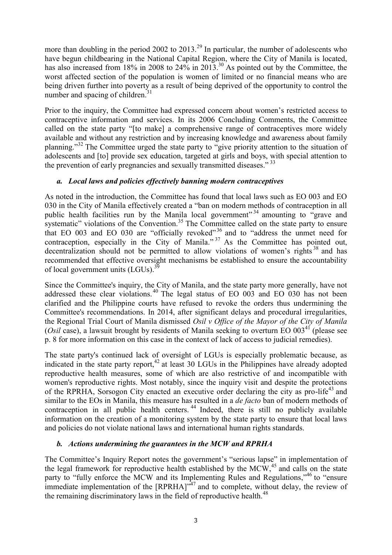more than doubling in the period 2002 to 2013.<sup>29</sup> In particular, the number of adolescents who have begun childbearing in the National Capital Region, where the City of Manila is located, has also increased from 18% in 2008 to 24% in 2013.<sup>30</sup> As pointed out by the Committee, the worst affected section of the population is women of limited or no financial means who are being driven further into poverty as a result of being deprived of the opportunity to control the number and spacing of children. $31$ 

Prior to the inquiry, the Committee had expressed concern about women's restricted access to contraceptive information and services. In its 2006 Concluding Comments, the Committee called on the state party "[to make] a comprehensive range of contraceptives more widely available and without any restriction and by increasing knowledge and awareness about family planning."<sup>32</sup> The Committee urged the state party to "give priority attention to the situation of adolescents and [to] provide sex education, targeted at girls and boys, with special attention to the prevention of early pregnancies and sexually transmitted diseases."<sup>33</sup>

### *a. Local laws and policies effectively banning modern contraceptives*

As noted in the introduction, the Committee has found that local laws such as EO 003 and EO 030 in the City of Manila effectively created a "ban on modern methods of contraception in all public health facilities run by the Manila local government"<sup>34</sup> amounting to "grave and systematic" violations of the Convention.<sup>35</sup> The Committee called on the state party to ensure that EO 003 and EO 030 are "officially revoked"<sup>36</sup> and to "address the unmet need for contraception, especially in the City of Manila."<sup>37</sup> As the Committee has pointed out, decentralization should not be permitted to allow violations of women's rights<sup>38</sup> and has recommended that effective oversight mechanisms be established to ensure the accountability of local government units (LGUs).<sup>39</sup>

Since the Committee's inquiry, the City of Manila, and the state party more generally, have not addressed these clear violations. <sup>40</sup> The legal status of EO 003 and EO 030 has not been clarified and the Philippine courts have refused to revoke the orders thus undermining the Committee's recommendations. In 2014, after significant delays and procedural irregularities, the Regional Trial Court of Manila dismissed *Osil v Office of the Mayor of the City of Manila*  (*Osil* case), a lawsuit brought by residents of Manila seeking to overturn EO 003<sup>41</sup> (please see p. 8 for more information on this case in the context of lack of access to judicial remedies).

The state party's continued lack of oversight of LGUs is especially problematic because, as indicated in the state party report, $42$  at least 30 LGUs in the Philippines have already adopted reproductive health measures, some of which are also restrictive of and incompatible with women's reproductive rights. Most notably, since the inquiry visit and despite the protections of the RPRHA, Sorsogon City enacted an executive order declaring the city as pro-life<sup>43</sup> and similar to the EOs in Manila, this measure has resulted in a *de facto* ban of modern methods of contraception in all public health centers.<sup>44</sup> Indeed, there is still no publicly available information on the creation of a monitoring system by the state party to ensure that local laws and policies do not violate national laws and international human rights standards.

### *b. Actions undermining the guarantees in the MCW and RPRHA*

The Committee's Inquiry Report notes the government's "serious lapse" in implementation of the legal framework for reproductive health established by the MCW,<sup>45</sup> and calls on the state party to "fully enforce the MCW and its Implementing Rules and Regulations,"<sup>46</sup> to "ensure immediate implementation of the  $[RPRHA]$ <sup> $,47$ </sup> and to complete, without delay, the review of the remaining discriminatory laws in the field of reproductive health.<sup>48</sup>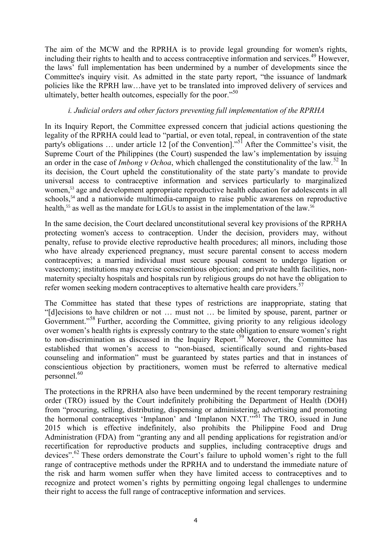The aim of the MCW and the RPRHA is to provide legal grounding for women's rights, including their rights to health and to access contraceptive information and services.<sup>49</sup> However, the laws' full implementation has been undermined by a number of developments since the Committee's inquiry visit. As admitted in the state party report, "the issuance of landmark policies like the RPRH law…have yet to be translated into improved delivery of services and ultimately, better health outcomes, especially for the poor."<sup>50</sup>

#### *i. Judicial orders and other factors preventing full implementation of the RPRHA*

In its Inquiry Report, the Committee expressed concern that judicial actions questioning the legality of the RPRHA could lead to "partial, or even total, repeal, in contravention of the state party's obligations ... under article 12 [of the Convention]."<sup>51</sup> After the Committee's visit, the Supreme Court of the Philippines (the Court) suspended the law's implementation by issuing an order in the case of *Imbong v Ochoa*, which challenged the constitutionality of the law*.* <sup>52</sup> In its decision, the Court upheld the constitutionality of the state party's mandate to provide universal access to contraceptive information and services particularly to marginalized women,<sup>53</sup> age and development appropriate reproductive health education for adolescents in all schools,<sup>54</sup> and a nationwide multimedia-campaign to raise public awareness on reproductive health,<sup>55</sup> as well as the mandate for LGUs to assist in the implementation of the law.<sup>56</sup>

In the same decision, the Court declared unconstitutional several key provisions of the RPRHA protecting women's access to contraception. Under the decision, providers may, without penalty, refuse to provide elective reproductive health procedures; all minors, including those who have already experienced pregnancy, must secure parental consent to access modern contraceptives; a married individual must secure spousal consent to undergo ligation or vasectomy; institutions may exercise conscientious objection; and private health facilities, nonmaternity specialty hospitals and hospitals run by religious groups do not have the obligation to refer women seeking modern contraceptives to alternative health care providers.<sup>57</sup>

The Committee has stated that these types of restrictions are inappropriate, stating that "[d]ecisions to have children or not … must not … be limited by spouse, parent, partner or Government."<sup>58</sup> Further, according the Committee, giving priority to any religious ideology over women's health rights is expressly contrary to the state obligation to ensure women's right to non-discrimination as discussed in the Inquiry Report. <sup>59</sup> Moreover, the Committee has established that women's access to "non-biased, scientifically sound and rights-based counseling and information" must be guaranteed by states parties and that in instances of conscientious objection by practitioners, women must be referred to alternative medical personnel. 60

The protections in the RPRHA also have been undermined by the recent temporary restraining order (TRO) issued by the Court indefinitely prohibiting the Department of Health (DOH) from "procuring, selling, distributing, dispensing or administering, advertising and promoting the hormonal contraceptives 'Implanon' and 'Implanon NXT."<sup>61</sup> The TRO, issued in June 2015 which is effective indefinitely, also prohibits the Philippine Food and Drug Administration (FDA) from "granting any and all pending applications for registration and/or recertification for reproductive products and supplies, including contraceptive drugs and devices".<sup>62</sup> These orders demonstrate the Court's failure to uphold women's right to the full range of contraceptive methods under the RPRHA and to understand the immediate nature of the risk and harm women suffer when they have limited access to contraceptives and to recognize and protect women's rights by permitting ongoing legal challenges to undermine their right to access the full range of contraceptive information and services.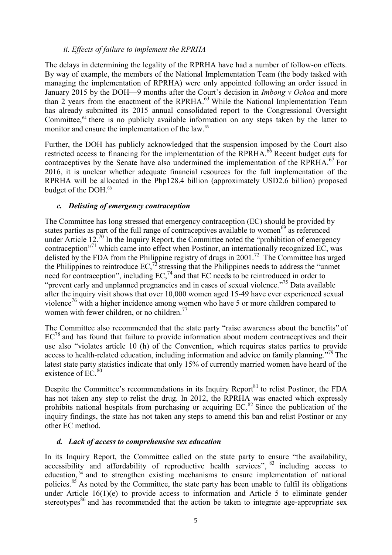### *ii. Effects of failure to implement the RPRHA*

The delays in determining the legality of the RPRHA have had a number of follow-on effects. By way of example, the members of the National Implementation Team (the body tasked with managing the implementation of RPRHA) were only appointed following an order issued in January 2015 by the DOH—9 months after the Court's decision in *Imbong v Ochoa* and more than 2 years from the enactment of the RPRHA.<sup>63</sup> While the National Implementation Team has already submitted its 2015 annual consolidated report to the Congressional Oversight Committee,<sup>64</sup> there is no publicly available information on any steps taken by the latter to monitor and ensure the implementation of the law.<sup>65</sup>

Further, the DOH has publicly acknowledged that the suspension imposed by the Court also restricted access to financing for the implementation of the RPRHA.<sup>66</sup> Recent budget cuts for contraceptives by the Senate have also undermined the implementation of the RPRHA.<sup>67</sup> For 2016, it is unclear whether adequate financial resources for the full implementation of the RPRHA will be allocated in the Php128.4 billion (approximately USD2.6 billion) proposed budget of the DOH. 68

## *c. Delisting of emergency contraception*

The Committee has long stressed that emergency contraception (EC) should be provided by states parties as part of the full range of contraceptives available to women<sup>69</sup> as referenced under Article  $12.^{70}$  In the Inquiry Report, the Committee noted the "prohibition of emergency contraception"<sup>71</sup> which came into effect when Postinor, an internationally recognized EC, was delisted by the FDA from the Philippine registry of drugs in 2001.<sup>72</sup> The Committee has urged the Philippines to reintroduce  $EC<sub>1</sub><sup>73</sup>$  stressing that the Philippines needs to address the "unmet" need for contraception", including  $EC<sub>1</sub><sup>74</sup>$  and that EC needs to be reintroduced in order to "prevent early and unplanned pregnancies and in cases of sexual violence."<sup>75</sup> Data available after the inquiry visit shows that over 10,000 women aged 15-49 have ever experienced sexual violence<sup>76</sup> with a higher incidence among women who have 5 or more children compared to women with fewer children, or no children.<sup>77</sup>

The Committee also recommended that the state party "raise awareness about the benefits" of  $EC^{78}$  and has found that failure to provide information about modern contraceptives and their use also "violates article 10 (h) of the Convention, which requires states parties to provide access to health-related education, including information and advice on family planning.<sup>79</sup> The latest state party statistics indicate that only 15% of currently married women have heard of the existence of  $EC<sup>80</sup>$ 

Despite the Committee's recommendations in its Inquiry Report<sup>81</sup> to relist Postinor, the FDA has not taken any step to relist the drug. In 2012, the RPRHA was enacted which expressly prohibits national hospitals from purchasing or acquiring  $EC^{82}$  Since the publication of the inquiry findings, the state has not taken any steps to amend this ban and relist Postinor or any other EC method.

### *d. Lack of access to comprehensive sex education*

In its Inquiry Report, the Committee called on the state party to ensure "the availability, accessibility and affordability of reproductive health services", <sup>83</sup> including access to education,<sup>84</sup> and to strengthen existing mechanisms to ensure implementation of national policies.<sup>85</sup> As noted by the Committee, the state party has been unable to fulfil its obligations under Article 16(1)(e) to provide access to information and Article 5 to eliminate gender stereotypes<sup>86</sup> and has recommended that the action be taken to integrate age-appropriate sex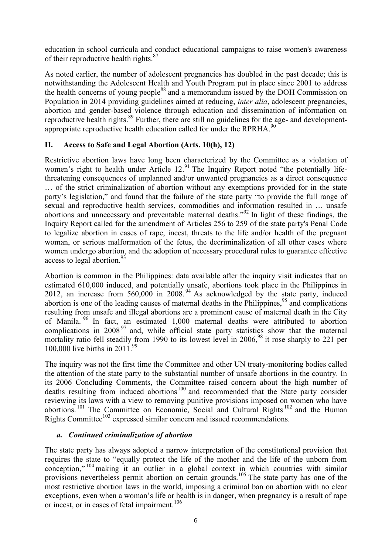education in school curricula and conduct educational campaigns to raise women's awareness of their reproductive health rights.<sup>87</sup>

As noted earlier, the number of adolescent pregnancies has doubled in the past decade; this is notwithstanding the Adolescent Health and Youth Program put in place since 2001 to address the health concerns of young people<sup>88</sup> and a memorandum issued by the DOH Commission on Population in 2014 providing guidelines aimed at reducing, *inter alia*, adolescent pregnancies, abortion and gender-based violence through education and dissemination of information on reproductive health rights.<sup>89</sup> Further, there are still no guidelines for the age- and developmentappropriate reproductive health education called for under the RPRHA. $^{90}$ 

# **II. Access to Safe and Legal Abortion (Arts. 10(h), 12)**

Restrictive abortion laws have long been characterized by the Committee as a violation of women's right to health under Article 12.<sup>91</sup> The Inquiry Report noted "the potentially lifethreatening consequences of unplanned and/or unwanted pregnancies as a direct consequence … of the strict criminalization of abortion without any exemptions provided for in the state party's legislation," and found that the failure of the state party "to provide the full range of sexual and reproductive health services, commodities and information resulted in … unsafe abortions and unnecessary and preventable maternal deaths."<sup>92</sup> In light of these findings, the Inquiry Report called for the amendment of Articles 256 to 259 of the state party's Penal Code to legalize abortion in cases of rape, incest, threats to the life and/or health of the pregnant woman, or serious malformation of the fetus, the decriminalization of all other cases where women undergo abortion, and the adoption of necessary procedural rules to guarantee effective access to legal abortion. $93$ 

Abortion is common in the Philippines: data available after the inquiry visit indicates that an estimated 610,000 induced, and potentially unsafe, abortions took place in the Philippines in 2012, an increase from  $560,000$  in  $2008<sup>94</sup>$  As acknowledged by the state party, induced abortion is one of the leading causes of maternal deaths in the Philippines,<sup>95</sup> and complications resulting from unsafe and illegal abortions are a prominent cause of maternal death in the City of Manila. <sup>96</sup> In fact, an estimated 1,000 maternal deaths were attributed to abortion complications in 2008<sup>97</sup> and, while official state party statistics show that the maternal mortality ratio fell steadily from 1990 to its lowest level in 2006,<sup>98</sup> it rose sharply to 221 per 100,000 live births in 2011.<sup>99</sup>

The inquiry was not the first time the Committee and other UN treaty-monitoring bodies called the attention of the state party to the substantial number of unsafe abortions in the country. In its 2006 Concluding Comments, the Committee raised concern about the high number of deaths resulting from induced abortions<sup>100</sup> and recommended that the State party consider reviewing its laws with a view to removing punitive provisions imposed on women who have abortions.<sup>101</sup> The Committee on Economic, Social and Cultural Rights<sup>102</sup> and the Human Rights Committee<sup>103</sup> expressed similar concern and issued recommendations.

### *a. Continued criminalization of abortion*

The state party has always adopted a narrow interpretation of the constitutional provision that requires the state to "equally protect the life of the mother and the life of the unborn from conception,"<sup>104</sup> making it an outlier in a global context in which countries with similar provisions nevertheless permit abortion on certain grounds.<sup>105</sup> The state party has one of the most restrictive abortion laws in the world, imposing a criminal ban on abortion with no clear exceptions, even when a woman's life or health is in danger, when pregnancy is a result of rape or incest, or in cases of fetal impairment.<sup>106</sup>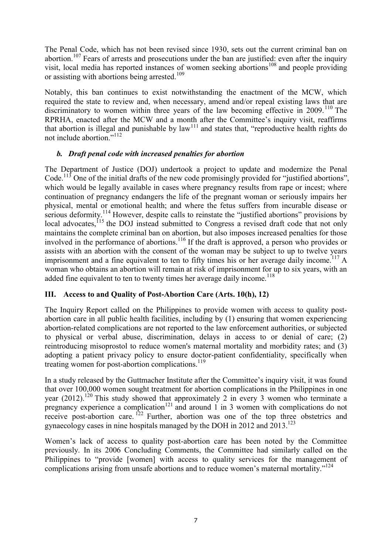The Penal Code, which has not been revised since 1930, sets out the current criminal ban on abortion.<sup>107</sup> Fears of arrests and prosecutions under the ban are justified: even after the inquiry visit, local media has reported instances of women seeking abortions<sup>108</sup> and people providing or assisting with abortions being arrested.<sup>109</sup>

Notably, this ban continues to exist notwithstanding the enactment of the MCW, which required the state to review and, when necessary, amend and/or repeal existing laws that are discriminatory to women within three years of the law becoming effective in  $2009$ .<sup>110</sup> The RPRHA, enacted after the MCW and a month after the Committee's inquiry visit, reaffirms that abortion is illegal and punishable by law<sup>111</sup> and states that, "reproductive health rights do not include abortion."<sup>112</sup>

### *b. Draft penal code with increased penalties for abortion*

The Department of Justice (DOJ) undertook a project to update and modernize the Penal Code.<sup>113</sup> One of the initial drafts of the new code promisingly provided for "justified abortions", which would be legally available in cases where pregnancy results from rape or incest; where continuation of pregnancy endangers the life of the pregnant woman or seriously impairs her physical, mental or emotional health; and where the fetus suffers from incurable disease or serious deformity.<sup>114</sup> However, despite calls to reinstate the "justified abortions" provisions by local advocates, <sup>115</sup> the DOJ instead submitted to Congress a revised draft code that not only maintains the complete criminal ban on abortion, but also imposes increased penalties for those involved in the performance of abortions.<sup>116</sup> If the draft is approved, a person who provides or assists with an abortion with the consent of the woman may be subject to up to twelve years imprisonment and a fine equivalent to ten to fifty times his or her average daily income.<sup>117</sup> A woman who obtains an abortion will remain at risk of imprisonment for up to six years, with an added fine equivalent to ten to twenty times her average daily income.<sup>118</sup>

### **III. Access to and Quality of Post-Abortion Care (Arts. 10(h), 12)**

The Inquiry Report called on the Philippines to provide women with access to quality postabortion care in all public health facilities, including by (1) ensuring that women experiencing abortion-related complications are not reported to the law enforcement authorities, or subjected to physical or verbal abuse, discrimination, delays in access to or denial of care; (2) reintroducing misoprostol to reduce women's maternal mortality and morbidity rates; and (3) adopting a patient privacy policy to ensure doctor-patient confidentiality, specifically when treating women for post-abortion complications.<sup>119</sup>

In a study released by the Guttmacher Institute after the Committee's inquiry visit, it was found that over 100,000 women sought treatment for abortion complications in the Philippines in one year  $(2012)$ .<sup>120</sup> This study showed that approximately 2 in every 3 women who terminate a pregnancy experience a complication<sup>121</sup> and around 1 in 3 women with complications do not receive post-abortion care.<sup>122</sup> Further, abortion was one of the top three obstetrics and gynaecology cases in nine hospitals managed by the DOH in 2012 and 2013.<sup>123</sup>

Women's lack of access to quality post-abortion care has been noted by the Committee previously. In its 2006 Concluding Comments, the Committee had similarly called on the Philippines to "provide [women] with access to quality services for the management of complications arising from unsafe abortions and to reduce women's maternal mortality."<sup>124</sup>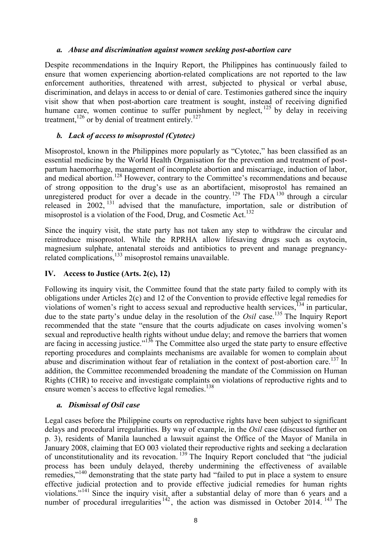#### *a. Abuse and discrimination against women seeking post-abortion care*

Despite recommendations in the Inquiry Report, the Philippines has continuously failed to ensure that women experiencing abortion-related complications are not reported to the law enforcement authorities, threatened with arrest, subjected to physical or verbal abuse, discrimination, and delays in access to or denial of care. Testimonies gathered since the inquiry visit show that when post-abortion care treatment is sought, instead of receiving dignified humane care, women continue to suffer punishment by neglect, <sup>125</sup> by delay in receiving treatment,  $126$  or by denial of treatment entirely.  $127$ 

### *b. Lack of access to misoprostol (Cytotec)*

Misoprostol, known in the Philippines more popularly as "Cytotec," has been classified as an essential medicine by the World Health Organisation for the prevention and treatment of postpartum haemorrhage, management of incomplete abortion and miscarriage, induction of labor, and medical abortion.<sup>128</sup> However, contrary to the Committee's recommendations and because of strong opposition to the drug's use as an abortifacient, misoprostol has remained an unregistered product for over a decade in the country.<sup>129</sup> The FDA<sup>130</sup> through a circular released in  $2002$ ,  $^{131}$  advised that the manufacture, importation, sale or distribution of misoprostol is a violation of the Food, Drug, and Cosmetic Act.<sup>132</sup>

Since the inquiry visit, the state party has not taken any step to withdraw the circular and reintroduce misoprostol. While the RPRHA allow lifesaving drugs such as oxytocin, magnesium sulphate, antenatal steroids and antibiotics to prevent and manage pregnancyrelated complications, $133$  misoprostol remains unavailable.

### **IV. Access to Justice (Arts. 2(c), 12)**

Following its inquiry visit, the Committee found that the state party failed to comply with its obligations under Articles 2(c) and 12 of the Convention to provide effective legal remedies for violations of women's right to access sexual and reproductive health services, <sup>134</sup> in particular, due to the state party's undue delay in the resolution of the *Osil* case. <sup>135</sup> The Inquiry Report recommended that the state "ensure that the courts adjudicate on cases involving women's sexual and reproductive health rights without undue delay; and remove the barriers that women are facing in accessing justice."<sup>136</sup> The Committee also urged the state party to ensure effective reporting procedures and complaints mechanisms are available for women to complain about abuse and discrimination without fear of retaliation in the context of post-abortion care.<sup>137</sup> In addition, the Committee recommended broadening the mandate of the Commission on Human Rights (CHR) to receive and investigate complaints on violations of reproductive rights and to ensure women's access to effective legal remedies. 138

#### *a. Dismissal of Osil case*

Legal cases before the Philippine courts on reproductive rights have been subject to significant delays and procedural irregularities. By way of example, in the *Osil* case (discussed further on p. 3), residents of Manila launched a lawsuit against the Office of the Mayor of Manila in January 2008, claiming that EO 003 violated their reproductive rights and seeking a declaration of unconstitutionality and its revocation.<sup>139</sup> The Inquiry Report concluded that "the judicial process has been unduly delayed, thereby undermining the effectiveness of available remedies,"<sup>140</sup> demonstrating that the state party had "failed to put in place a system to ensure effective judicial protection and to provide effective judicial remedies for human rights violations."<sup>141</sup> Since the inquiry visit, after a substantial delay of more than 6 years and a number of procedural irregularities  $142$ , the action was dismissed in October 2014. <sup>143</sup> The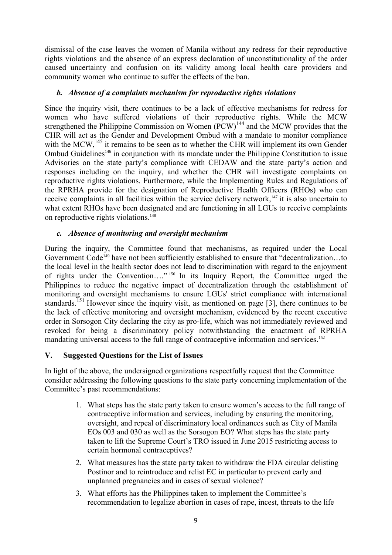dismissal of the case leaves the women of Manila without any redress for their reproductive rights violations and the absence of an express declaration of unconstitutionality of the order caused uncertainty and confusion on its validity among local health care providers and community women who continue to suffer the effects of the ban.

### *b. Absence of a complaints mechanism for reproductive rights violations*

Since the inquiry visit, there continues to be a lack of effective mechanisms for redress for women who have suffered violations of their reproductive rights. While the MCW strengthened the Philippine Commission on Women  $(\overrightarrow{PCW})^{144}$  and the MCW provides that the CHR will act as the Gender and Development Ombud with a mandate to monitor compliance with the MCW,<sup>145</sup> it remains to be seen as to whether the CHR will implement its own Gender Ombud Guidelines<sup>146</sup> in conjunction with its mandate under the Philippine Constitution to issue Advisories on the state party's compliance with CEDAW and the state party's action and responses including on the inquiry, and whether the CHR will investigate complaints on reproductive rights violations. Furthermore, while the Implementing Rules and Regulations of the RPRHA provide for the designation of Reproductive Health Officers (RHOs) who can receive complaints in all facilities within the service delivery network,<sup>147</sup> it is also uncertain to what extent RHOs have been designated and are functioning in all LGUs to receive complaints on reproductive rights violations. 148

### *c. Absence of monitoring and oversight mechanism*

During the inquiry, the Committee found that mechanisms, as required under the Local Government Code<sup>149</sup> have not been sufficiently established to ensure that "decentralization...to the local level in the health sector does not lead to discrimination with regard to the enjoyment of rights under the Convention…." <sup>150</sup> In its Inquiry Report, the Committee urged the Philippines to reduce the negative impact of decentralization through the establishment of monitoring and oversight mechanisms to ensure LGUs' strict compliance with international standards.<sup> $151$ </sup> However since the inquiry visit, as mentioned on page [3], there continues to be the lack of effective monitoring and oversight mechanism, evidenced by the recent executive order in Sorsogon City declaring the city as pro-life, which was not immediately reviewed and revoked for being a discriminatory policy notwithstanding the enactment of RPRHA mandating universal access to the full range of contraceptive information and services. 152

# **V. Suggested Questions for the List of Issues**

In light of the above, the undersigned organizations respectfully request that the Committee consider addressing the following questions to the state party concerning implementation of the Committee's past recommendations:

- 1. What steps has the state party taken to ensure women's access to the full range of contraceptive information and services, including by ensuring the monitoring, oversight, and repeal of discriminatory local ordinances such as City of Manila EOs 003 and 030 as well as the Sorsogon EO? What steps has the state party taken to lift the Supreme Court's TRO issued in June 2015 restricting access to certain hormonal contraceptives?
- 2. What measures has the state party taken to withdraw the FDA circular delisting Postinor and to reintroduce and relist EC in particular to prevent early and unplanned pregnancies and in cases of sexual violence?
- 3. What efforts has the Philippines taken to implement the Committee's recommendation to legalize abortion in cases of rape, incest, threats to the life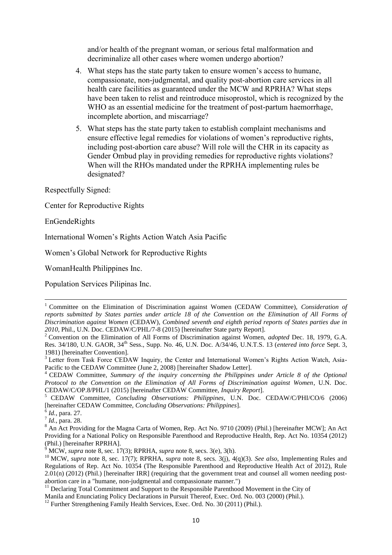and/or health of the pregnant woman, or serious fetal malformation and decriminalize all other cases where women undergo abortion?

- 4. What steps has the state party taken to ensure women's access to humane, compassionate, non-judgmental, and quality post-abortion care services in all health care facilities as guaranteed under the MCW and RPRHA? What steps have been taken to relist and reintroduce misoprostol, which is recognized by the WHO as an essential medicine for the treatment of post-partum haemorrhage, incomplete abortion, and miscarriage?
- 5. What steps has the state party taken to establish complaint mechanisms and ensure effective legal remedies for violations of women's reproductive rights, including post-abortion care abuse? Will role will the CHR in its capacity as Gender Ombud play in providing remedies for reproductive rights violations? When will the RHOs mandated under the RPRHA implementing rules be designated?

Respectfully Signed:

Center for Reproductive Rights

EnGendeRights

ł

International Women's Rights Action Watch Asia Pacific

Women's Global Network for Reproductive Rights

WomanHealth Philippines Inc.

Population Services Pilipinas Inc.

<sup>1</sup> Committee on the Elimination of Discrimination against Women (CEDAW Committee), *Consideration of reports submitted by States parties under article 18 of the Convention on the Elimination of All Forms of Discrimination against Women* (CEDAW)*, Combined seventh and eighth period reports of States parties due in 2010*, Phil., U.N. Doc. CEDAW/C/PHL/7-8 (2015) [hereinafter State party Report].

<sup>2</sup> Convention on the Elimination of All Forms of Discrimination against Women, *adopted* Dec. 18, 1979, G.A. Res. 34/180, U.N. GAOR, 34th Sess., Supp. No. 46, U.N. Doc. A/34/46, U.N.T.S. 13 (*entered into force* Sept. 3, 1981) [hereinafter Convention].

<sup>&</sup>lt;sup>3</sup> Letter from Task Force CEDAW Inquiry, the Center and International Women's Rights Action Watch, Asia-Pacific to the CEDAW Committee (June 2, 2008) [hereinafter Shadow Letter].

<sup>4</sup> CEDAW Committee, *Summary of the inquiry concerning the Philippines under Article 8 of the Optional Protocol to the Convention on the Elimination of All Forms of Discrimination against Women*, U.N. Doc. CEDAW/C/OP.8/PHL/1 (2015) [hereinafter CEDAW Committee, *Inquiry Report*].

<sup>5</sup> CEDAW Committee, *Concluding Observations: Philippines*, U.N. Doc. CEDAW/C/PHI/CO/6 (2006) [hereinafter CEDAW Committee, *Concluding Observations: Philippines*].

<sup>6</sup> *Id.*, para. 27.

<sup>7</sup> *Id.*, para. 28.

<sup>&</sup>lt;sup>8</sup> An Act Providing for the Magna Carta of Women, Rep. Act No. 9710 (2009) (Phil.) [hereinafter MCW]; An Act Providing for a National Policy on Responsible Parenthood and Reproductive Health, Rep. Act No. 10354 (2012) (Phil.) [hereinafter RPRHA].

 $9^9$  MCW, *supra* note 8, sec. 17(3); RPRHA, *supra* note 8, secs. 3(e), 3(h).

<sup>10</sup> MCW, *supra* note 8, sec. 17(7); RPRHA, *supra* note 8, secs. 3(j), 4(q)(3). *See also*, Implementing Rules and Regulations of Rep. Act No. 10354 (The Responsible Parenthood and Reproductive Health Act of 2012), Rule 2.01(n) (2012) (Phil.) [hereinafter IRR] (requiring that the government treat and counsel all women needing postabortion care in a "humane, non-judgmental and compassionate manner.")

<sup>&</sup>lt;sup>11</sup> Declaring Total Commitment and Support to the Responsible Parenthood Movement in the City of

Manila and Enunciating Policy Declarations in Pursuit Thereof, Exec. Ord. No. 003 (2000) (Phil.).

<sup>&</sup>lt;sup>12</sup> Further Strengthening Family Health Services, Exec. Ord. No. 30 (2011) (Phil.).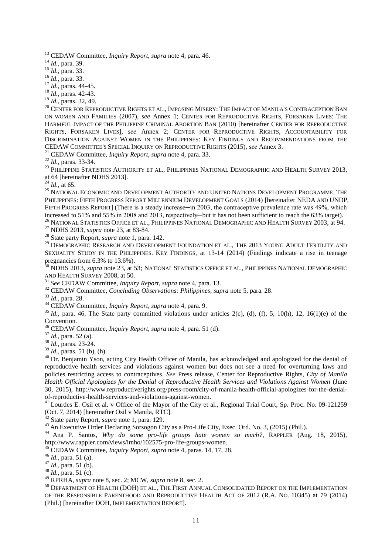<sup>13</sup> CEDAW Committee, *Inquiry Report*, *supra* note 4, para. 46.

<sup>14</sup> *Id.*, para. 39.

t

<sup>15</sup> *Id.*, para. 33.

<sup>16</sup> *Id.*, para. 33.

<sup>17</sup> *Id.*, paras. 44-45.

<sup>18</sup> *Id.*, paras. 42-43.

<sup>19</sup> *Id.*, paras. 32, 49.

<sup>20</sup> CENTER FOR REPRODUCTIVE RIGHTS ET AL., IMPOSING MISERY: THE IMPACT OF MANILA'S CONTRACEPTION BAN ON WOMEN AND FAMILIES (2007), *see* Annex 1; CENTER FOR REPRODUCTIVE RIGHTS, FORSAKEN LIVES: THE HARMFUL IMPACT OF THE PHILIPPINE CRIMINAL ABORTION BAN (2010) [hereinafter CENTER FOR REPRODUCTIVE RIGHTS, FORSAKEN LIVES], *see* Annex 2; CENTER FOR REPRODUCTIVE RIGHTS, ACCOUNTABILITY FOR DISCRIMINATION AGAINST WOMEN IN THE PHILIPPINES: KEY FINDINGS AND RECOMMENDATIONS FROM THE CEDAW COMMITTEE'S SPECIAL INQUIRY ON REPRODUCTIVE RIGHTS (2015), *see* Annex 3.

<sup>21</sup> CEDAW Committee, *Inquiry Report*, *supra* note 4, para. 33.

<sup>22</sup> *Id.*, paras. 33-34.

<sup>23</sup> PHILIPPINE STATISTICS AUTHORITY ET AL., PHILIPPINES NATIONAL DEMOGRAPHIC AND HEALTH SURVEY 2013, at 64 [hereinafter NDHS 2013].

<sup>24</sup> *Id.*, at 65.

<sup>25</sup> NATIONAL ECONOMIC AND DEVELOPMENT AUTHORITY AND UNITED NATIONS DEVELOPMENT PROGRAMME, THE PHILIPPINES: FIFTH PROGRESS REPORT MILLENNIUM DEVELOPMENT GOALS (2014) [hereinafter NEDA AND UNDP, FIFTH PROGRESS REPORT] (There is a steady increase—in 2003, the contraceptive prevalence rate was 49%, which increased to 51% and 55% in 2008 and 2013, respectively—but it has not been sufficient to reach the 63% target).

<sup>26</sup> NATIONAL STATISTICS OFFICE ET AL., PHILIPPINES NATIONAL DEMOGRAPHIC AND HEALTH SURVEY 2003, at 94. <sup>27</sup> NDHS 2013, *supra* note 23, at 83-84.

<sup>28</sup> State party Report, *supra* note 1, para. 142.

 $^{29}$  Demographic Research and Development Foundation et al., The 2013 Young Adult Fertility and SEXUALITY STUDY IN THE PHILIPPINES. KEY FINDINGS, at 13-14 (2014) (Findings indicate a rise in teenage pregnancies from 6.3% to 13.6%).

<sup>30</sup> NDHS 2013, *supra* note 23, at 53; NATIONAL STATISTICS OFFICE ET AL., PHILIPPINES NATIONAL DEMOGRAPHIC AND HEALTH SURVEY 2008, at 50.

<sup>31</sup> *See* CEDAW Committee, *Inquiry Report*, *supra* note 4, para. 13.

<sup>32</sup> CEDAW Committee, *Concluding Observations: Philippines*, *supra* note 5, para. 28.

<sup>33</sup> *Id.*, para. 28.

<sup>34</sup> CEDAW Committee, *Inquiry Report*, *supra* note 4, para. 9.

 $35$  *Id.*, para. 46. The State party committed violations under articles 2(c), (d), (f), 5, 10(h), 12, 16(1)(e) of the Convention.

<sup>36</sup> CEDAW Committee, *Inquiry Report*, *supra* note 4, para. 51 (d).

<sup>37</sup> *Id.*, para. 52 (a).

<sup>38</sup> *Id.*, paras. 23-24.

<sup>39</sup> *Id.*, paras. 51 (b), (h).

<sup>40</sup> Dr. Benjamin Yson, acting City Health Officer of Manila, has acknowledged and apologized for the denial of reproductive health services and violations against women but does not see a need for overturning laws and policies restricting access to contraceptives. *See* Press release, Center for Reproductive Rights, *City of Manila Health Official Apologizes for the Denial of Reproductive Health Services and Violations Against Women* (June 30, 2015), http://www.reproductiverights.org/press-room/city-of-manila-health-official-apologizes-for-the-denialof-reproductive-health-services-and-violations-against-women.

<sup>41</sup> Lourdes E. Osil et al. v Office of the Mayor of the City et al., Regional Trial Court, Sp. Proc. No. 09-121259 (Oct. 7, 2014) [hereinafter Osil v Manila, RTC].

<sup>42</sup> State party Report, *supra* note 1, para. 129.

<sup>43</sup> An Executive Order Declaring Sorsogon City as a Pro-Life City, Exec. Ord. No. 3, (2015) (Phil.).

<sup>44</sup> Ana P. Santos, *Why do some pro-life groups hate women so much?*, RAPPLER (Aug. 18, 2015), http://www.rappler.com/views/imho/102575-pro-life-groups-women.

<sup>45</sup> CEDAW Committee, *Inquiry Report*, *supra* note 4, paras. 14, 17, 28.

<sup>46</sup> *Id.*, para. 51 (a).

<sup>47</sup> *Id.*, para. 51 (b).

<sup>48</sup> *Id.*, para. 51 (c).

<sup>49</sup> RPRHA, *supra* note 8, sec. 2; MCW, *supra* note 8, sec. 2.

<sup>50</sup> DEPARTMENT OF HEALTH (DOH) ET AL., THE FIRST ANNUAL CONSOLIDATED REPORT ON THE IMPLEMENTATION OF THE RESPONSIBLE PARENTHOOD AND REPRODUCTIVE HEALTH ACT OF 2012 (R.A. NO. 10345) at 79 (2014) (Phil.) [hereinafter DOH, IMPLEMENTATION REPORT].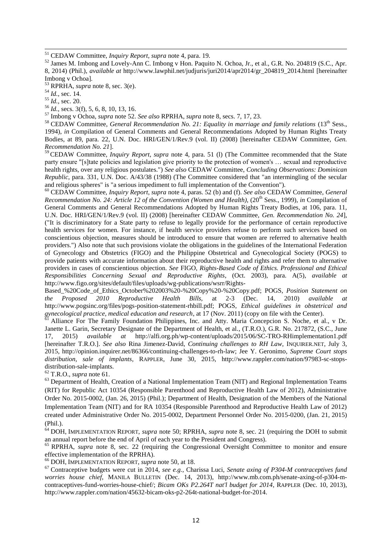<sup>51</sup> CEDAW Committee, *Inquiry Report*, *supra* note 4, para. 19.

<sup>52</sup> James M. Imbong and Lovely-Ann C. Imbong v Hon. Paquito N. Ochoa, Jr., et al., G.R. No. 204819 (S.C., Apr. 8, 2014) (Phil.), *available at* [http://www.lawphil.net/judjuris/juri2014/apr2014/gr\\_204819\\_2014.html](http://www.lawphil.net/judjuris/juri2014/apr2014/gr_204819_2014.html) [hereinafter Imbong v Ochoa]*.*

<sup>53</sup> RPRHA, *supra* note 8, sec. 3(e).

<sup>54</sup> *Id.*, sec. 14.

t

<sup>55</sup> *Id.*, sec. 20.

<sup>56</sup> *Id.*, secs. 3(f), 5, 6, 8, 10, 13, 16.

<sup>57</sup> Imbong v Ochoa, *supra* note 52. *See also* RPRHA, *supra* note 8, secs. 7, 17, 23.

<sup>58</sup> CEDAW Committee, *General Recommendation No.* 21: Equality in marriage and family relations (13<sup>th</sup> Sess., 1994), *in* Compilation of General Comments and General Recommendations Adopted by Human Rights Treaty Bodies, at 89, para. 22, U.N. Doc. HRI/GEN/1/Rev.9 (vol. II) (2008) [hereinafter CEDAW Committee, *Gen. Recommendation No. 21*].

<sup>59</sup> CEDAW Committee, *Inquiry Report*, *supra* note 4, para. 51 (l) (The Committee recommended that the State party ensure "[s]tate policies and legislation give priority to the protection of women's … sexual and reproductive health rights, over any religious postulates.") *See also* CEDAW Committee, *Concluding Observations: Dominican Republic*, para. 331, U.N. Doc. A/43/38 (1988) (The Committee considered that "an intermingling of the secular and religious spheres" is "a serious impediment to full implementation of the Convention").

<sup>60</sup> CEDAW Committee, *Inquiry Report*, *supra* note 4, paras. 52 (b) and (f). *See also* CEDAW Committee, *General Recommendation No. 24: Article 12 of the Convention (Women and Health)*, (20<sup>th</sup> Sess., 1999), *in* Compilation of General Comments and General Recommendations Adopted by Human Rights Treaty Bodies, at 106, para. 11, U.N. Doc. HRI/GEN/1/Rev.9 (vol. II) (2008) [hereinafter CEDAW Committee, *Gen. Recommendation No. 24*], ("It is discriminatory for a State party to refuse to legally provide for the performance of certain reproductive health services for women. For instance, if health service providers refuse to perform such services based on conscientious objection, measures should be introduced to ensure that women are referred to alternative health providers.") Also note that such provisions violate the obligations in the guidelines of the International Federation of Gynecology and Obstetrics (FIGO) and the Philippine Obstetrical and Gynecological Society (POGS) to provide patients with accurate information about their reproductive health and rights and refer them to alternative providers in cases of conscientious objection. *See* FIGO, *Rights-Based Code of Ethics. Professional and Ethical Responsibilities Concerning Sexual and Reproductive Rights*, (Oct. 2003), para. A(5), *available at*  http://www.figo.org/sites/default/files/uploads/wg-publications/wsrr/Rights-

Based\_%20Code\_of\_Ethics\_October%202003%20-%20Copy%20-%20Copy.pdf; POGS, *Position Statement on the Proposed 2010 Reproductive* http://www.pogsinc.org/files/pogs-position-statement-rhbill.pdf; POGS, *Ethical guidelines in obstetrical and gynecological practice, medical education and research*, at 17 (Nov. 2011) (copy on file with the Center).

Alliance For The Family Foundation Philippines, Inc. and Atty. Maria Concepcion S. Noche, et al., v Dr. Janette L. Garin, Secretary Designate of the Department of Health, et al*.,* (T.R.O.), G.R. No. 217872, (S.C., June 17, 2015) *available at* <http://alfi.org.ph/wp-content/uploads/2015/06/SC-TRO-RHimplementation1.pdf> [hereinafter T.R.O.]. *See also* Rina Jimenez-David, *Continuing challenges to RH Law*, INQUIRER.NET, July 3, 2015, http://opinion.inquirer.net/86366/continuing-challenges-to-rh-law; Jee Y. Geronimo, *Supreme Court stops distribution, sale of implants*, RAPPLER, June 30, 2015, http://www.rappler.com/nation/97983-sc-stopsdistribution-sale-implants.

<sup>62</sup> T.R.O., *supra* note 61.

<sup>63</sup> Department of Health, Creation of a National Implementation Team (NIT) and Regional Implementation Teams (RIT) for Republic Act 10354 (Responsible Parenthood and Reproductive Health Law of 2012), Administrative Order No. 2015-0002, (Jan. 26, 2015) (Phil.); Department of Health, Designation of the Members of the National Implementation Team (NIT) and for RA 10354 (Responsible Parenthood and Reproductive Health Law of 2012) created under Administrative Order No. 2015-0002, Department Personnel Order No. 2015-0200, (Jan. 21, 2015) (Phil.).

<sup>64</sup> DOH, IMPLEMENTATION REPORT, *supra* note 50; RPRHA, *supra* note 8, sec. 21 (requiring the DOH to submit an annual report before the end of April of each year to the President and Congress).

<sup>65</sup> RPRHA, *supra* note 8, sec. 22 (requiring the Congressional Oversight Committee to monitor and ensure effective implementation of the RPRHA).

<sup>66</sup> DOH, IMPLEMENTATION REPORT, *supra* note 50, at 18.

<sup>67</sup> Contraceptive budgets were cut in 2014, *see e.g.*, Charissa Luci, *Senate axing of P304-M contraceptives fund worries house chief*, MANILA BULLETIN (Dec. 14, 2013), http://www.mb.com.ph/senate-axing-of-p304-mcontraceptives-fund-worries-house-chief/; *Bicam OKs P2.264T nat'l budget for 2014*, RAPPLER (Dec. 10, 2013), http://www.rappler.com/nation/45632-bicam-oks-p2-264t-national-budget-for-2014.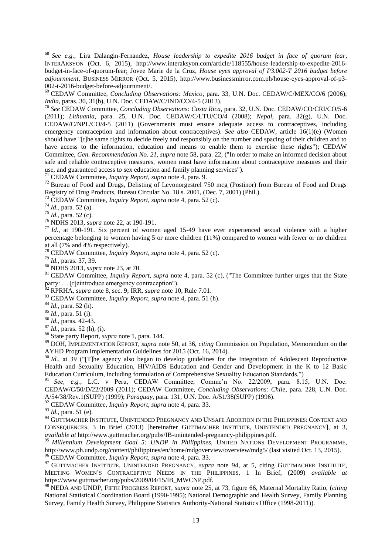68 <sup>68</sup> *See e.g.*, Lira Dalangin-Fernandez, *House leadership to expedite 2016 budget in face of quorum fear*, INTERAKSYON (Oct. 6, 2015), http://www.interaksyon.com/article/118555/house-leadership-to-expedite-2016 budget-in-face-of-quorum-fear; Jovee Marie de la Cruz, *House eyes approval of P3.002-T 2016 budget before adjournment*, BUSINESS MIRROR (Oct. 5, 2015), http://www.businessmirror.com.ph/house-eyes-approval-of-p3- 002-t-2016-budget-before-adjournment/.

<sup>69</sup> CEDAW Committee, *Concluding Observations: Mexico*, para. 33, U.N. Doc. CEDAW/C/MEX/CO/6 (2006); *India*, paras. 30, 31(b), U.N. Doc. CEDAW/C/IND/CO/4-5 (2013).

<sup>70</sup> *See* CEDAW Committee, *Concluding Observations: Costa Rica*, para. 32, U.N. Doc. CEDAW/CO/CRI/CO/5-6 (2011); *Lithuania*, para. 25, U.N. Doc. CEDAW/C/LTU/CO/4 (2008); *Nepal*, para. 32(g), U.N. Doc. CEDAW/C/NPL/CO/4-5 (2011) (Governments must ensure adequate access to contraceptives, including emergency contraception and information about contraceptives). *See also* CEDAW, article 16(1)(e) (Women should have "[t]he same rights to decide freely and responsibly on the number and spacing of their children and to have access to the information, education and means to enable them to exercise these rights"); CEDAW Committee, *Gen. Recommendation No. 21, supra* note 58, para. 22, ("In order to make an informed decision about safe and reliable contraceptive measures, women must have information about contraceptive measures and their use, and guaranteed access to sex education and family planning services").

<sup>71</sup> CEDAW Committee, *Inquiry Report*, *supra* note 4, para. 9.

<sup>72</sup> Bureau of Food and Drugs, Delisting of Levonorgestrel 750 mcg (Postinor) from Bureau of Food and Drugs Registry of Drug Products, Bureau Circular No. 18 s. 2001, (Dec. 7, 2001) (Phil.)*.*

<sup>73</sup> CEDAW Committee, *Inquiry Report*, *supra* note 4, para. 52 (c).

<sup>74</sup> *Id.*, para. 52 (a).

<sup>75</sup> *Id.*, para. 52 (c).

<sup>76</sup> NDHS 2013, *supra* note 22, at 190-191.

<sup>77</sup> *Id.*, at 190-191. Six percent of women aged 15-49 have ever experienced sexual violence with a higher percentage belonging to women having 5 or more children (11%) compared to women with fewer or no children at all (7% and 4% respectively).

<sup>78</sup> CEDAW Committee, *Inquiry Report*, *supra* note 4, para. 52 (c).

<sup>79</sup> *Id.*, paras. 37, 39.

<sup>80</sup> NDHS 2013, *supra* note 23, at 70.

<sup>81</sup> CEDAW Committee, *Inquiry Report*, *supra* note 4, para. 52 (c), ("The Committee further urges that the State party: … [r]eintroduce emergency contraception").

<sup>82</sup> RPRHA, *supra* note 8, sec. 9; IRR, *supra* note 10, Rule 7.01.

<sup>83</sup> CEDAW Committee, *Inquiry Report*, *supra* note 4, para. 51 (h).

<sup>84</sup> *Id.*, para. 52 (h).

<sup>85</sup> *Id.*, para. 51 (i).

<sup>86</sup> *Id.*, paras. 42-43.

<sup>87</sup> *Id.*, paras. 52 (h), (i).

<sup>88</sup> State party Report, *supra* note 1, para. 144.

<sup>89</sup> DOH, IMPLEMENTATION REPORT, *supra* note 50, at 36, *citing* Commission on Population, Memorandum on the AYHD Program Implementation Guidelines for 2015 (Oct. 16, 2014).

<sup>90</sup> *Id.*, at 39 ("T]he agency also began to develop guidelines for the Integration of Adolescent Reproductive Health and Sexuality Education, HIV/AIDS Education and Gender and Development in the K to 12 Basic Education Curriculum, including formulation of Comprehensive Sexuality Education Standards.")

<sup>91</sup> See, e.g., L.C. v Peru, CEDAW Committee, Commc'n No. 22/2009, para. 8.15, U.N. Doc. CEDAW/C/50/D/22/2009 (2011); CEDAW Committee, *Concluding Observations: Chile*, para. 228, U.N. Doc. A/54/38/Rev.1(SUPP) (1999); *Paraguay*, para. 131, U.N. Doc. A/51/38(SUPP) (1996).

<sup>92</sup> CEDAW Committee, *Inquiry Report*, *supra* note 4, para. 33.

<sup>93</sup> *Id.*, para. 51 (e).

<sup>94</sup> GUTTMACHER INSTITUTE, UNINTENDED PREGNANCY AND UNSAFE ABORTION IN THE PHILIPPINES: CONTEXT AND CONSEQUENCES, 3 In Brief (2013) [hereinafter GUTTMACHER INSTITUTE, UNINTENDED PREGNANCY], at 3, *available at* http://www.guttmacher.org/pubs/IB-unintended-pregnancy-philippines.pdf.<br><sup>95</sup> Millennium Development Case 5, UND is platticon the process of the state of the state of the state of the state of the state of th

<sup>95</sup> *Millennium Development Goal 5: UNDP in Philippines,* UNITED NATIONS DEVELOPMENT PROGRAMME, http://www.ph.undp.org/content/philippines/en/home/mdgoverview/overview/mdg5/ (last visited Oct. 13, 2015). <sup>96</sup> CEDAW Committee, *Inquiry Report*, *supra* note 4, para. 33.

<sup>97</sup> GUTTMACHER INSTITUTE, UNINTENDED PREGNANCY, *supra* note 94, at 5, citing GUTTMACHER INSTITUTE, MEETING WOMEN'S CONTRACEPTIVE NEEDS IN THE PHILIPPINES, 1 In Brief, (2009) *available at*  https://www.guttmacher.org/pubs/2009/04/15/IB\_MWCNP.pdf.

<sup>98</sup> NEDA AND UNDP, FIFTH PROGRESS REPORT, *supra* note 25, at 73, figure 66, Maternal Mortality Ratio, (*citing* National Statistical Coordination Board (1990-1995); National Demographic and Health Survey, Family Planning Survey, Family Health Survey, Philippine Statistics Authority-National Statistics Office (1998-2011)).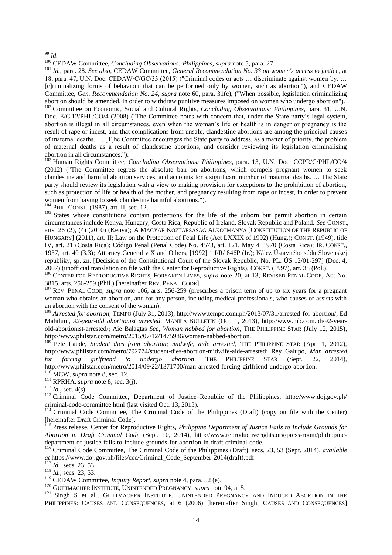į <sup>99</sup> *Id.*

<sup>100</sup> CEDAW Committee, *Concluding Observations: Philippines*, *supra* note 5, para. 27.

<sup>101</sup> *Id.*, para. 28. *See also*, CEDAW Committee, *General Recommendation No. 33 on women's access to justice*, at 18, para. 47, U.N. Doc. CEDAW/C/GC/33 (2015) ("Criminal codes or acts … discriminate against women by: … [c]riminalizing forms of behaviour that can be performed only by women, such as abortion"), and CEDAW Committee, *Gen. Recommendation No. 24*, *supra* note 60, para. 31(c), ("When possible, legislation criminalizing abortion should be amended, in order to withdraw punitive measures imposed on women who undergo abortion").

<sup>102</sup> Committee on Economic, Social and Cultural Rights, *Concluding Observations: Philippines*, para. 31, U.N. Doc. E/C.12/PHL/CO/4 (2008) ("The Committee notes with concern that, under the State party's legal system, abortion is illegal in all circumstances, even when the woman's life or health is in danger or pregnancy is the result of rape or incest, and that complications from unsafe, clandestine abortions are among the principal causes of maternal deaths. … [T]he Committee encourages the State party to address, as a matter of priority, the problem of maternal deaths as a result of clandestine abortions, and consider reviewing its legislation criminalising abortion in all circumstances.").

<sup>103</sup> Human Rights Committee, *Concluding Observations: Philippines*, para. 13, U.N. Doc. CCPR/C/PHL/CO/4 (2012) ("The Committee regrets the absolute ban on abortions, which compels pregnant women to seek clandestine and harmful abortion services, and accounts for a significant number of maternal deaths. … The State party should review its legislation with a view to making provision for exceptions to the prohibition of abortion, such as protection of life or health of the mother, and pregnancy resulting from rape or incest, in order to prevent women from having to seek clandestine harmful abortions.").

<sup>104</sup> PHIL. CONST. (1987), art. II, sec. 12.

105 States whose constitutions contain protections for the life of the unborn but permit abortion in certain circumstances include Kenya, Hungary, Costa Rica, Republic of Ireland, Slovak Republic and Poland. *See* CONST., arts. 26 (2), (4) (2010) (Kenya); A MAGYAR KÖZTÁRSASÁG ALKOTMÁNYA [CONSTITUTION OF THE REPUBLIC OF HUNGARY] (2011), art. II; Law on the Protection of Fetal Life (Act LXXIX of 1992) (Hung.); CONST. (1949), title IV, art. 21 (Costa Rica); Código Penal (Penal Code) No. 4573, art. 121, May 4, 1970 (Costa Rica); IR. CONST., 1937, art. 40 (3.3); Attorney General v X and Others, [1992] 1 I/R/ 846P (Ir.); Nález Ústavného súdu Slovenskej republiky, sp. zn. [Decision of the Constitutional Court of the Slovak Republic, No. PL. ÚS 12/01-297] (Dec. 4, 2007) (unofficial translation on file with the Center for Reproductive Rights), CONST. (1997), art. 38 (Pol.).

<sup>106</sup> CENTER FOR REPRODUCTIVE RIGHTS, FORSAKEN LIVES, *supra* note 20, at 13; REVISED PENAL CODE, Act No. 3815, arts. 256-259 (Phil.) [hereinafter REV. PENAL CODE].

<sup>107</sup> REV. PENAL CODE, *supra* note 106, arts. 256-259 (prescribes a prison term of up to six years for a pregnant woman who obtains an abortion, and for any person, including medical professionals, who causes or assists with an abortion with the consent of the woman).

<sup>108</sup> *Arrested for abortion*, TEMPO (July 31, 2013), http://www.tempo.com.ph/2013/07/31/arrested-for-abortion/; Ed Mahilum, *92-year-old abortionist arrested*, MANILA BULLETIN (Oct. 1, 2013), http://www.mb.com.ph/92-yearold-abortionist-arrested/; Aie Balagtas *See*, *Woman nabbed for abortion*, THE PHILIPPINE STAR (July 12, 2015), http://www.philstar.com/metro/2015/07/12/1475986/woman-nabbed-abortion.

<sup>109</sup> Pete Laude, *Student dies from abortion; midwife, aide arrested*, THE PHILIPPINE STAR (Apr. 1, 2012), http://www.philstar.com/metro/792774/student-dies-abortion-midwife-aide-arrested; Rey Galupo, *Man arrested for forcing girlfriend to undergo abortion*, THE PHILIPPINE STAR (Sept. 22, 2014), http://www.philstar.com/metro/2014/09/22/1371700/man-arrested-forcing-girlfriend-undergo-abortion.

<sup>110</sup> MCW, *supra* note 8, sec. 12.

<sup>111</sup> RPRHA, *supra* note 8, sec. 3(j).

 $^{112}$  *Id.*, sec. 4(s).

<sup>113</sup> Criminal Code Committee, Department of Justice–Republic of the Philippines, http://www.doj.gov.ph/ criminal-code-committee.html (last visited Oct. 13, 2015).

<sup>114</sup> Criminal Code Committee, The Criminal Code of the Philippines (Draft) (copy on file with the Center) [hereinafter Draft Criminal Code].

<sup>115</sup> Press release, Center for Reproductive Rights, *Philippine Department of Justice Fails to Include Grounds for Abortion in Draft Criminal Code* (Sept. 10, 2014), http://www.reproductiverights.org/press-room/philippinedepartment-of-justice-fails-to-include-grounds-for-abortion-in-draft-criminal-code.

<sup>116</sup> Criminal Code Committee, The Criminal Code of the Philippines (Draft), secs. 23, 53 (Sept. 2014), *available at* https://www.doj.gov.ph/files/ccc/Criminal\_Code\_September-2014(draft).pdf.

<sup>117</sup> *Id.*, secs. 23, 53.

<sup>118</sup> *Id.*, secs. 23, 53.

<sup>119</sup> CEDAW Committee, *Inquiry Report*, *supra* note 4, para. 52 (e).

<sup>120</sup> GUTTMACHER INSTITUTE, UNINTENDED PREGNANCY, *supra* note 94, at 5.

<sup>121</sup> Singh S et al., GUTTMACHER INSTITUTE, UNINTENDED PREGNANCY AND INDUCED ABORTION IN THE PHILIPPINES: CAUSES AND CONSEQUENCES, at 6 (2006) [hereinafter Singh, CAUSES AND CONSEQUENCES]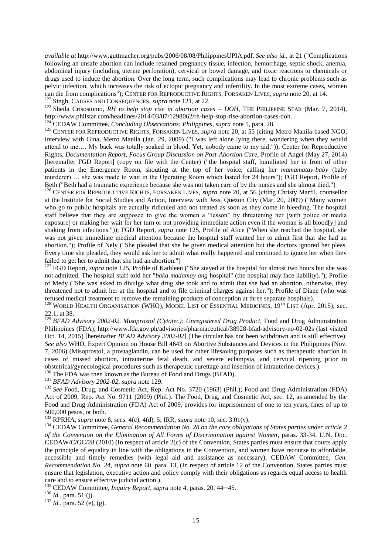*available at* http://www.guttmacher.org/pubs/2006/08/08/PhilippinesUPIA.pdf. *See also id.*, at 21 ("Complications following an unsafe abortion can include retained pregnancy tissue, infection, hemorrhage, septic shock, anemia, abdominal injury (including uterine perforation), cervical or bowel damage, and toxic reactions to chemicals or drugs used to induce the abortion. Over the long term, such complications may lead to chronic problems such as pelvic infection, which increases the risk of ectopic pregnancy and infertility. In the most extreme cases, women can die from complications"); CENTER FOR REPRODUCTIVE RIGHTS, FORSAKEN LIVES, *supra* note 20, at 14. <sup>122</sup> Singh, CAUSES AND CONSEQUENCES, *supra* note 121, at 22.

<sup>123</sup> Sheila Crisostomo, *RH to help stop rise in abortion cases – DOH*, THE PHILIPPINE STAR (Mar. 7, 2014), [http://www.philstar.com/headlines/2014/03/07/1298062/rh-help-stop-rise-abortion-cases-doh.](http://www.philstar.com/headlines/2014/03/07/1298062/rh-help-stop-rise-abortion-cases-doh)

<sup>124</sup> CEDAW Committee, *Concluding Observations: Philippines*, *supra* note 5, para. 28.

<sup>125</sup> CENTER FOR REPRODUCTIVE RIGHTS, FORSAKEN LIVES, *supra* note 20, at 55 (citing Metro Manila-based NGO, Interview with Gina, Metro Manila (Jan. 29, 2009) ("I was left alone lying there, wondering when they would attend to me…. My back was totally soaked in blood. Yet, nobody came to my aid.")); Center for Reproductive Rights, *Documentation Report, Focus Group Discussion on Post-Abortion Care,* Profile of Angel (May 27, 2014) [hereinafter FGD Report] (copy on file with the Center) ("the hospital staff, humiliated her in front of other patients in the Emergency Room, shouting at the top of her voice, calling her *mamamatay-baby* (baby murderer) … she was made to wait in the Operating Room which lasted for 24 hours"); FGD Report, Profile of Beth ("Beth had a traumatic experience because she was not taken care of by the nurses and she almost died.")

<sup>126</sup> CENTER FOR REPRODUCTIVE RIGHTS, FORSAKEN LIVES, *supra* note 20, at 56 (citing Christy Marfil, counsellor at the Institute for Social Studies and Action, Interview with Jess, Quezon City (Mar. 20, 2009) ("Many women who go to public hospitals are actually ridiculed and not treated as soon as they come in bleeding. The hospital staff believe that they are supposed to give the women a "lesson" by threatening her [with police or media exposure] or making her wait for her turn or not providing immediate action even if the woman is all blood[y] and shaking from infections.")); FGD Report, *supra* note 125, Profile of Alice ("When she reached the hospital, she was not given immediate medical attention because the hospital staff wanted her to admit first that she had an abortion."); Profile of Nely ("She pleaded that she be given medical attention but the doctors ignored her pleas. Every time she pleaded, they would ask her to admit what really happened and continued to ignore her when they failed to get her to admit that she had an abortion.")

<sup>127</sup> FGD Report, *supra* note 125, Profile of Kathleen ("She stayed at the hospital for almost two hours but she was not admitted. The hospital staff told her "*baka madamay ang* hospital" (the hospital may face liability)."); Profile of Medy ("She was asked to divulge what drug she took and to admit that she had an abortion, otherwise, they threatened not to admit her at the hospital and to file criminal charges against her."); Profile of Diane (who was refused medical treatment to remove the remaining products of conception at three separate hospitals).

<sup>128</sup> WORLD HEALTH ORGANISATION (WHO), MODEL LIST OF ESSENTIAL MEDICINES, 19<sup>TH</sup> LIST (Apr. 2015), sec. 22.1, at 38.

<sup>129</sup> *BFAD Advisory 2002-02. Misoprostol (Cytotec): Unregistered Drug Product,* Food and Drug Administration Philippines (FDA), http://www.fda.gov.ph/advisories/pharmaceutical/38928-bfad-advisory-no-02-02s (last visited Oct. 14, 2015) [hereinafter *BFAD Advisory 2002-02*] (The circular has not been withdrawn and is still effective). *See also* WHO, Expert Opinion on House Bill 4643 on Abortive Substances and Devices in the Philippines (Nov. 7, 2006) (Misoprostol, a prostaglandin, can be used for other lifesaving purposes such as therapeutic abortion in cases of missed abortion, intrauterine fetal death, and severe eclampsia, and cervical ripening prior to obstetrical/gynecological procedures such as therapeutic curettage and insertion of intrauterine devices.).

<sup>130</sup> The FDA was then known as the Bureau of Food and Drugs (BFAD).

<sup>131</sup> *BFAD Advisory 2002-02, supra* note 129.

<sup>132</sup> See Food, Drug, and Cosmetic Act, Rep. Act No. 3720 (1963) (Phil.); Food and Drug Administration (FDA) Act of 2009, Rep. Act No. 9711 (2009) (Phil.). The Food, Drug, and Cosmetic Act, sec. 12, as amended by the Food and Drug Administration (FDA) Act of 2009, provides for imprisonment of one to ten years, fines of up to 500,000 pesos, or both.

<sup>133</sup> RPRHA, *supra* note 8, secs. 4(c), 4(d), 5; IRR, *supra* note 10, sec. 3.01(y).

<sup>134</sup> CEDAW Committee, *General Recommendation No. 28 on the core obligations of States parties under article 2 of the Convention on the Elimination of All Forms of Discrimination against Women*, paras. 33-34, U.N. Doc. CEDAW/C/GC/28 (2010) (In respect of article 2(c) of the Convention, States parties must ensure that courts apply the principle of equality in line with the obligations in the Convention, and women have recourse to affordable, accessible and timely remedies (with legal aid and assistance as necessary); CEDAW Committee, *Gen. Recommendation No. 24*, *supra* note 60, para. 13, (In respect of article 12 of the Convention, States parties must ensure that legislation, executive action and policy comply with their obligations as regards equal access to health care and to ensure effective judicial action.).

<sup>135</sup> CEDAW Committee, *Inquiry Report*, *supra* note 4, paras. 20, 44─45.

<sup>136</sup> *Id.*, para. 51 (j).

ī

<sup>137</sup> *Id.*, para. 52 (e), (g).